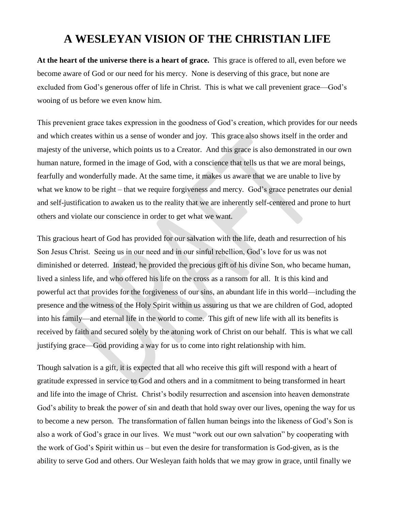## **A WESLEYAN VISION OF THE CHRISTIAN LIFE**

**At the heart of the universe there is a heart of grace.** This grace is offered to all, even before we become aware of God or our need for his mercy. None is deserving of this grace, but none are excluded from God's generous offer of life in Christ. This is what we call prevenient grace—God's wooing of us before we even know him.

This prevenient grace takes expression in the goodness of God's creation, which provides for our needs and which creates within us a sense of wonder and joy. This grace also shows itself in the order and majesty of the universe, which points us to a Creator. And this grace is also demonstrated in our own human nature, formed in the image of God, with a conscience that tells us that we are moral beings, fearfully and wonderfully made. At the same time, it makes us aware that we are unable to live by what we know to be right – that we require forgiveness and mercy. God's grace penetrates our denial and self-justification to awaken us to the reality that we are inherently self-centered and prone to hurt others and violate our conscience in order to get what we want.

This gracious heart of God has provided for our salvation with the life, death and resurrection of his Son Jesus Christ. Seeing us in our need and in our sinful rebellion, God's love for us was not diminished or deterred. Instead, he provided the precious gift of his divine Son, who became human, lived a sinless life, and who offered his life on the cross as a ransom for all. It is this kind and powerful act that provides for the forgiveness of our sins, an abundant life in this world—including the presence and the witness of the Holy Spirit within us assuring us that we are children of God, adopted into his family—and eternal life in the world to come. This gift of new life with all its benefits is received by faith and secured solely by the atoning work of Christ on our behalf. This is what we call justifying grace—God providing a way for us to come into right relationship with him.

Though salvation is a gift, it is expected that all who receive this gift will respond with a heart of gratitude expressed in service to God and others and in a commitment to being transformed in heart and life into the image of Christ. Christ's bodily resurrection and ascension into heaven demonstrate God's ability to break the power of sin and death that hold sway over our lives, opening the way for us to become a new person. The transformation of fallen human beings into the likeness of God's Son is also a work of God's grace in our lives. We must "work out our own salvation" by cooperating with the work of God's Spirit within us – but even the desire for transformation is God-given, as is the ability to serve God and others. Our Wesleyan faith holds that we may grow in grace, until finally we